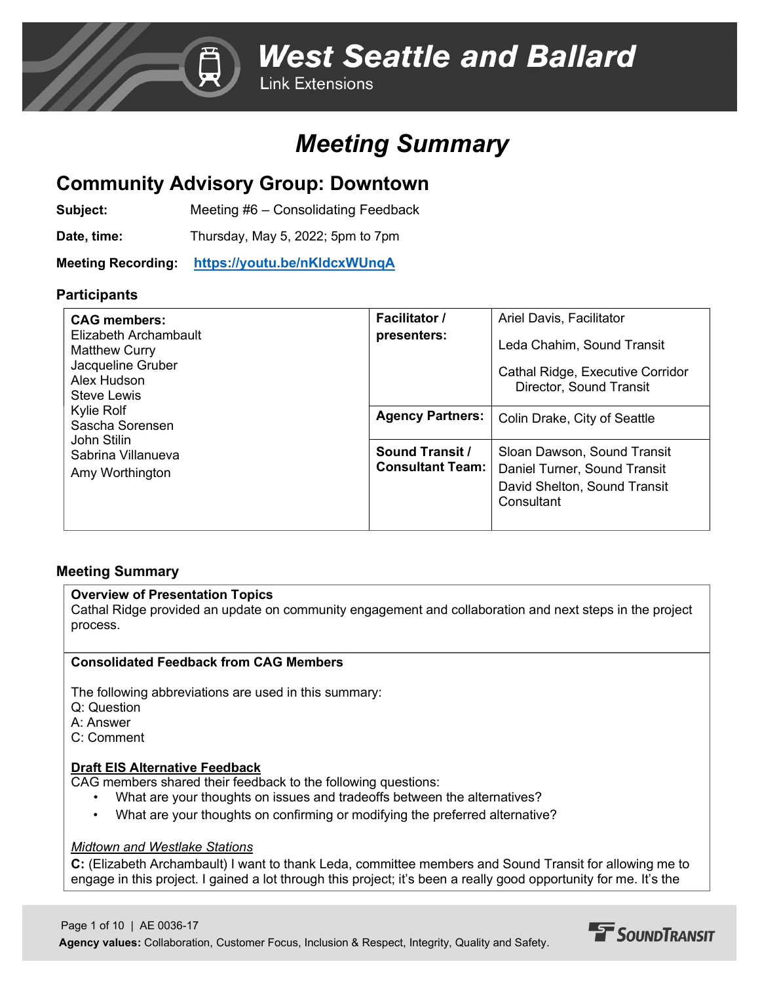**Link Extensions** 

## *Meeting Summary*

## **Community Advisory Group: Downtown**

**Subject:** Meeting #6 – Consolidating Feedback

**Date, time:** Thursday, May 5, 2022; 5pm to 7pm

**Meeting Recording: [https://youtu.be/nKldcxWUnqA](https://nam12.safelinks.protection.outlook.com/?url=https%3A%2F%2Fyoutu.be%2FnKldcxWUnqA&data=05%7C01%7CA.Davis%40fehrandpeers.com%7Cb24778e9e82347b29bfb08da2327f277%7C087dca4b49c742c6a76649a3f29fc3f4%7C1%7C0%7C637860951745710406%7CUnknown%7CTWFpbGZsb3d8eyJWIjoiMC4wLjAwMDAiLCJQIjoiV2luMzIiLCJBTiI6Ik1haWwiLCJXVCI6Mn0%3D%7C3000%7C%7C%7C&sdata=myiTILSs0VkAkEVzQb%2BkSeqQJtMbOCSTfvukntiv0SM%3D&reserved=0)**

#### **Participants**

| <b>CAG members:</b><br>Elizabeth Archambault<br><b>Matthew Curry</b><br>Jacqueline Gruber<br>Alex Hudson<br>Steve Lewis<br>Kylie Rolf<br>Sascha Sorensen<br>John Stilin<br>Sabrina Villanueva<br>Amy Worthington | <b>Facilitator /</b><br>presenters:        | Ariel Davis, Facilitator<br>Leda Chahim, Sound Transit<br>Cathal Ridge, Executive Corridor<br>Director, Sound Transit |
|------------------------------------------------------------------------------------------------------------------------------------------------------------------------------------------------------------------|--------------------------------------------|-----------------------------------------------------------------------------------------------------------------------|
|                                                                                                                                                                                                                  | <b>Agency Partners:</b>                    | Colin Drake, City of Seattle                                                                                          |
|                                                                                                                                                                                                                  | Sound Transit /<br><b>Consultant Team:</b> | Sloan Dawson, Sound Transit<br>Daniel Turner, Sound Transit<br>David Shelton, Sound Transit<br>Consultant             |

#### **Meeting Summary**

#### **Overview of Presentation Topics**

Cathal Ridge provided an update on community engagement and collaboration and next steps in the project process.

#### **Consolidated Feedback from CAG Members**

The following abbreviations are used in this summary:

- Q: Question
- A: Answer
- C: Comment

#### **Draft EIS Alternative Feedback**

CAG members shared their feedback to the following questions:

- What are your thoughts on issues and tradeoffs between the alternatives?
- What are your thoughts on confirming or modifying the preferred alternative?

#### *Midtown and Westlake Stations*

**C:** (Elizabeth Archambault) I want to thank Leda, committee members and Sound Transit for allowing me to engage in this project. I gained a lot through this project; it's been a really good opportunity for me. It's the

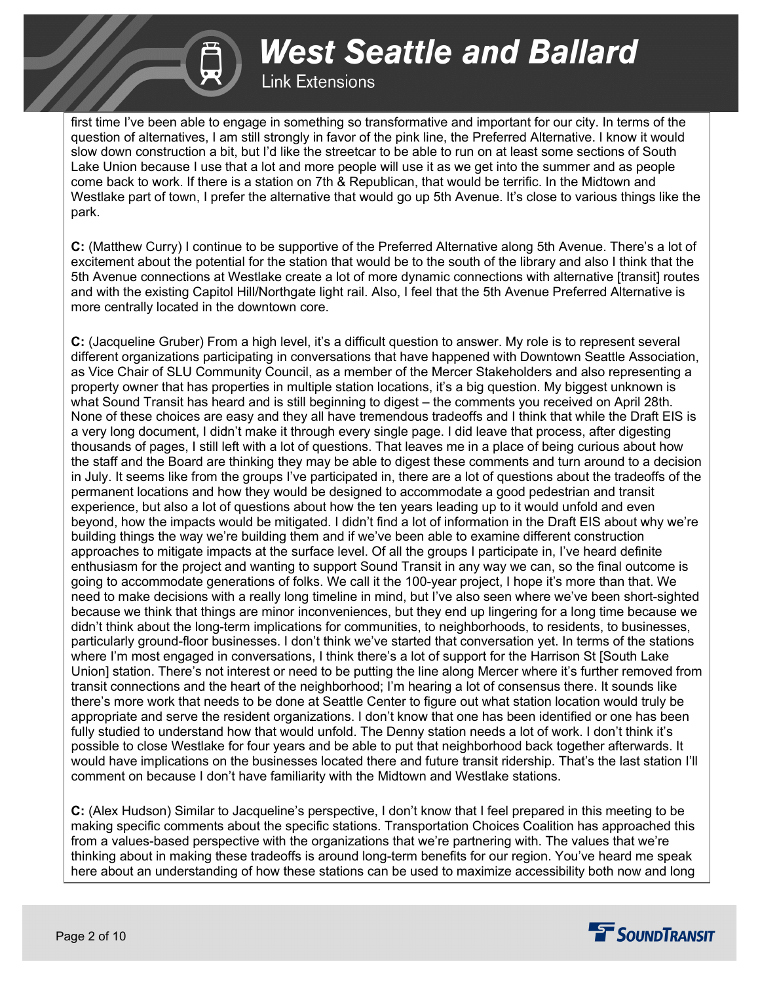### **Link Extensions**

first time I've been able to engage in something so transformative and important for our city. In terms of the question of alternatives, I am still strongly in favor of the pink line, the Preferred Alternative. I know it would slow down construction a bit, but I'd like the streetcar to be able to run on at least some sections of South Lake Union because I use that a lot and more people will use it as we get into the summer and as people come back to work. If there is a station on 7th & Republican, that would be terrific. In the Midtown and Westlake part of town, I prefer the alternative that would go up 5th Avenue. It's close to various things like the park.

**C:** (Matthew Curry) I continue to be supportive of the Preferred Alternative along 5th Avenue. There's a lot of excitement about the potential for the station that would be to the south of the library and also I think that the 5th Avenue connections at Westlake create a lot of more dynamic connections with alternative [transit] routes and with the existing Capitol Hill/Northgate light rail. Also, I feel that the 5th Avenue Preferred Alternative is more centrally located in the downtown core.

**C:** (Jacqueline Gruber) From a high level, it's a difficult question to answer. My role is to represent several different organizations participating in conversations that have happened with Downtown Seattle Association, as Vice Chair of SLU Community Council, as a member of the Mercer Stakeholders and also representing a property owner that has properties in multiple station locations, it's a big question. My biggest unknown is what Sound Transit has heard and is still beginning to digest – the comments you received on April 28th. None of these choices are easy and they all have tremendous tradeoffs and I think that while the Draft EIS is a very long document, I didn't make it through every single page. I did leave that process, after digesting thousands of pages, I still left with a lot of questions. That leaves me in a place of being curious about how the staff and the Board are thinking they may be able to digest these comments and turn around to a decision in July. It seems like from the groups I've participated in, there are a lot of questions about the tradeoffs of the permanent locations and how they would be designed to accommodate a good pedestrian and transit experience, but also a lot of questions about how the ten years leading up to it would unfold and even beyond, how the impacts would be mitigated. I didn't find a lot of information in the Draft EIS about why we're building things the way we're building them and if we've been able to examine different construction approaches to mitigate impacts at the surface level. Of all the groups I participate in, I've heard definite enthusiasm for the project and wanting to support Sound Transit in any way we can, so the final outcome is going to accommodate generations of folks. We call it the 100-year project, I hope it's more than that. We need to make decisions with a really long timeline in mind, but I've also seen where we've been short-sighted because we think that things are minor inconveniences, but they end up lingering for a long time because we didn't think about the long-term implications for communities, to neighborhoods, to residents, to businesses, particularly ground-floor businesses. I don't think we've started that conversation yet. In terms of the stations where I'm most engaged in conversations, I think there's a lot of support for the Harrison St [South Lake Union] station. There's not interest or need to be putting the line along Mercer where it's further removed from transit connections and the heart of the neighborhood; I'm hearing a lot of consensus there. It sounds like there's more work that needs to be done at Seattle Center to figure out what station location would truly be appropriate and serve the resident organizations. I don't know that one has been identified or one has been fully studied to understand how that would unfold. The Denny station needs a lot of work. I don't think it's possible to close Westlake for four years and be able to put that neighborhood back together afterwards. It would have implications on the businesses located there and future transit ridership. That's the last station I'll comment on because I don't have familiarity with the Midtown and Westlake stations.

**C:** (Alex Hudson) Similar to Jacqueline's perspective, I don't know that I feel prepared in this meeting to be making specific comments about the specific stations. Transportation Choices Coalition has approached this from a values-based perspective with the organizations that we're partnering with. The values that we're thinking about in making these tradeoffs is around long-term benefits for our region. You've heard me speak here about an understanding of how these stations can be used to maximize accessibility both now and long

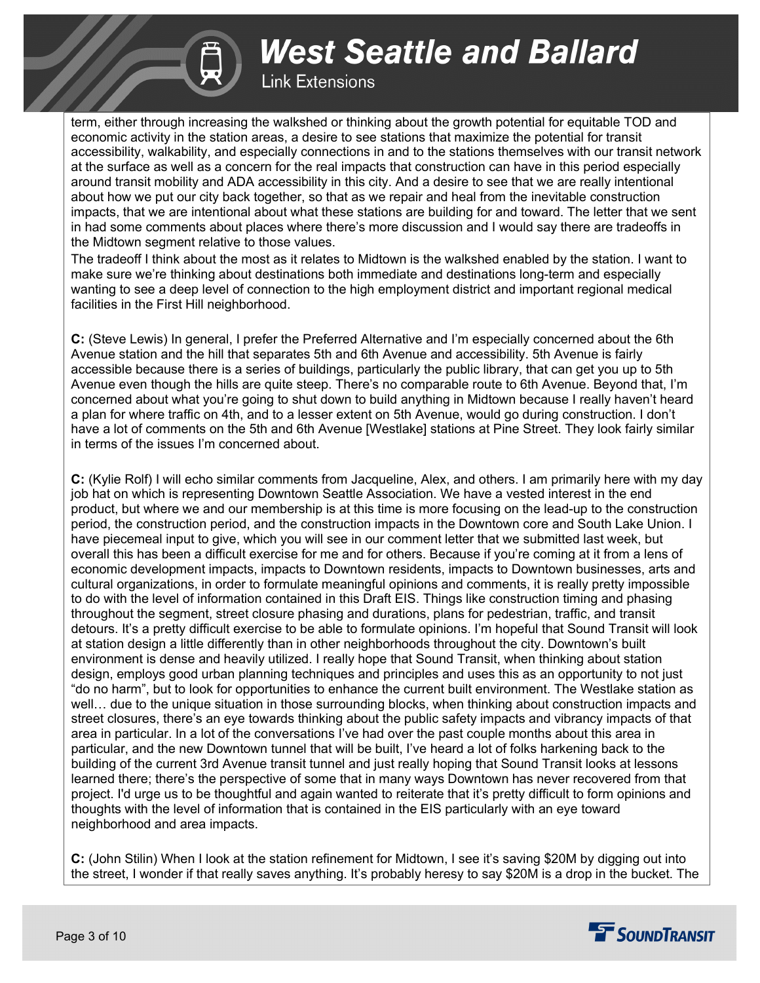### **Link Extensions**

term, either through increasing the walkshed or thinking about the growth potential for equitable TOD and economic activity in the station areas, a desire to see stations that maximize the potential for transit accessibility, walkability, and especially connections in and to the stations themselves with our transit network at the surface as well as a concern for the real impacts that construction can have in this period especially around transit mobility and ADA accessibility in this city. And a desire to see that we are really intentional about how we put our city back together, so that as we repair and heal from the inevitable construction impacts, that we are intentional about what these stations are building for and toward. The letter that we sent in had some comments about places where there's more discussion and I would say there are tradeoffs in the Midtown segment relative to those values.

The tradeoff I think about the most as it relates to Midtown is the walkshed enabled by the station. I want to make sure we're thinking about destinations both immediate and destinations long-term and especially wanting to see a deep level of connection to the high employment district and important regional medical facilities in the First Hill neighborhood.

**C:** (Steve Lewis) In general, I prefer the Preferred Alternative and I'm especially concerned about the 6th Avenue station and the hill that separates 5th and 6th Avenue and accessibility. 5th Avenue is fairly accessible because there is a series of buildings, particularly the public library, that can get you up to 5th Avenue even though the hills are quite steep. There's no comparable route to 6th Avenue. Beyond that, I'm concerned about what you're going to shut down to build anything in Midtown because I really haven't heard a plan for where traffic on 4th, and to a lesser extent on 5th Avenue, would go during construction. I don't have a lot of comments on the 5th and 6th Avenue [Westlake] stations at Pine Street. They look fairly similar in terms of the issues I'm concerned about.

**C:** (Kylie Rolf) I will echo similar comments from Jacqueline, Alex, and others. I am primarily here with my day job hat on which is representing Downtown Seattle Association. We have a vested interest in the end product, but where we and our membership is at this time is more focusing on the lead-up to the construction period, the construction period, and the construction impacts in the Downtown core and South Lake Union. I have piecemeal input to give, which you will see in our comment letter that we submitted last week, but overall this has been a difficult exercise for me and for others. Because if you're coming at it from a lens of economic development impacts, impacts to Downtown residents, impacts to Downtown businesses, arts and cultural organizations, in order to formulate meaningful opinions and comments, it is really pretty impossible to do with the level of information contained in this Draft EIS. Things like construction timing and phasing throughout the segment, street closure phasing and durations, plans for pedestrian, traffic, and transit detours. It's a pretty difficult exercise to be able to formulate opinions. I'm hopeful that Sound Transit will look at station design a little differently than in other neighborhoods throughout the city. Downtown's built environment is dense and heavily utilized. I really hope that Sound Transit, when thinking about station design, employs good urban planning techniques and principles and uses this as an opportunity to not just "do no harm", but to look for opportunities to enhance the current built environment. The Westlake station as well… due to the unique situation in those surrounding blocks, when thinking about construction impacts and street closures, there's an eye towards thinking about the public safety impacts and vibrancy impacts of that area in particular. In a lot of the conversations I've had over the past couple months about this area in particular, and the new Downtown tunnel that will be built, I've heard a lot of folks harkening back to the building of the current 3rd Avenue transit tunnel and just really hoping that Sound Transit looks at lessons learned there; there's the perspective of some that in many ways Downtown has never recovered from that project. I'd urge us to be thoughtful and again wanted to reiterate that it's pretty difficult to form opinions and thoughts with the level of information that is contained in the EIS particularly with an eye toward neighborhood and area impacts.

**C:** (John Stilin) When I look at the station refinement for Midtown, I see it's saving \$20M by digging out into the street, I wonder if that really saves anything. It's probably heresy to say \$20M is a drop in the bucket. The

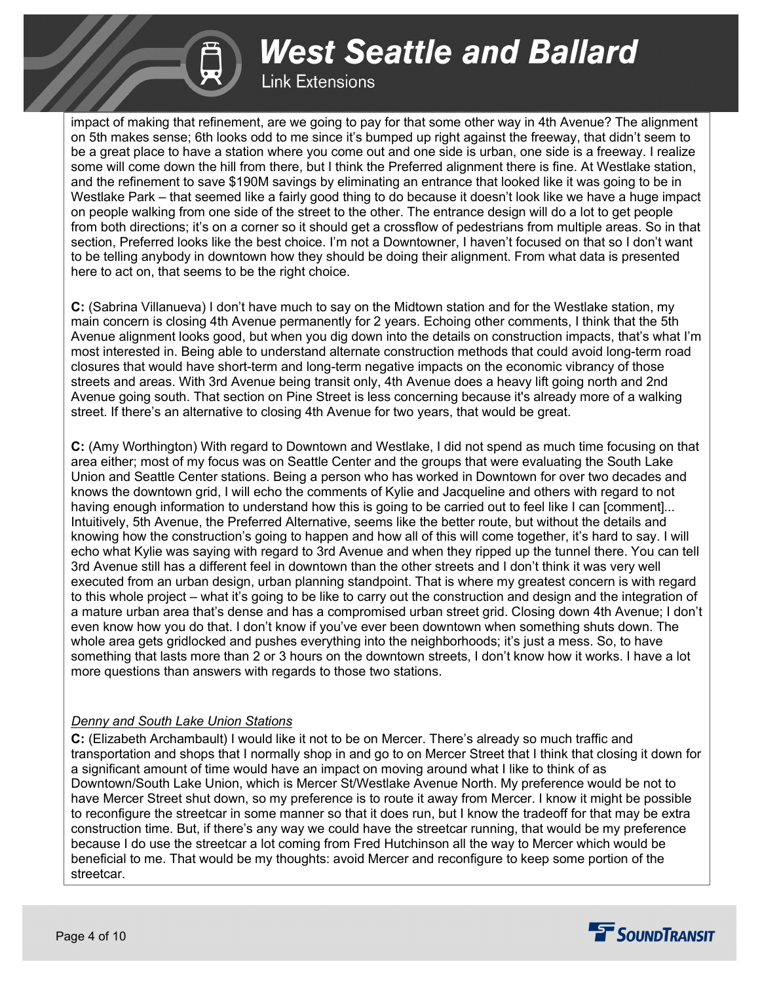### **Link Extensions**

impact of making that refinement, are we going to pay for that some other way in 4th Avenue? The alignment on 5th makes sense; 6th looks odd to me since it's bumped up right against the freeway, that didn't seem to be a great place to have a station where you come out and one side is urban, one side is a freeway. I realize some will come down the hill from there, but I think the Preferred alignment there is fine. At Westlake station, and the refinement to save \$190M savings by eliminating an entrance that looked like it was going to be in Westlake Park – that seemed like a fairly good thing to do because it doesn't look like we have a huge impact on people walking from one side of the street to the other. The entrance design will do a lot to get people from both directions; it's on a corner so it should get a crossflow of pedestrians from multiple areas. So in that section, Preferred looks like the best choice. I'm not a Downtowner, I haven't focused on that so I don't want to be telling anybody in downtown how they should be doing their alignment. From what data is presented here to act on, that seems to be the right choice.

**C:** (Sabrina Villanueva) I don't have much to say on the Midtown station and for the Westlake station, my main concern is closing 4th Avenue permanently for 2 years. Echoing other comments, I think that the 5th Avenue alignment looks good, but when you dig down into the details on construction impacts, that's what I'm most interested in. Being able to understand alternate construction methods that could avoid long-term road closures that would have short-term and long-term negative impacts on the economic vibrancy of those streets and areas. With 3rd Avenue being transit only, 4th Avenue does a heavy lift going north and 2nd Avenue going south. That section on Pine Street is less concerning because it's already more of a walking street. If there's an alternative to closing 4th Avenue for two years, that would be great.

**C:** (Amy Worthington) With regard to Downtown and Westlake, I did not spend as much time focusing on that area either; most of my focus was on Seattle Center and the groups that were evaluating the South Lake Union and Seattle Center stations. Being a person who has worked in Downtown for over two decades and knows the downtown grid, I will echo the comments of Kylie and Jacqueline and others with regard to not having enough information to understand how this is going to be carried out to feel like I can [comment]... Intuitively, 5th Avenue, the Preferred Alternative, seems like the better route, but without the details and knowing how the construction's going to happen and how all of this will come together, it's hard to say. I will echo what Kylie was saying with regard to 3rd Avenue and when they ripped up the tunnel there. You can tell 3rd Avenue still has a different feel in downtown than the other streets and I don't think it was very well executed from an urban design, urban planning standpoint. That is where my greatest concern is with regard to this whole project – what it's going to be like to carry out the construction and design and the integration of a mature urban area that's dense and has a compromised urban street grid. Closing down 4th Avenue; I don't even know how you do that. I don't know if you've ever been downtown when something shuts down. The whole area gets gridlocked and pushes everything into the neighborhoods; it's just a mess. So, to have something that lasts more than 2 or 3 hours on the downtown streets, I don't know how it works. I have a lot more questions than answers with regards to those two stations.

#### *Denny and South Lake Union Stations*

**C:** (Elizabeth Archambault) I would like it not to be on Mercer. There's already so much traffic and transportation and shops that I normally shop in and go to on Mercer Street that I think that closing it down for a significant amount of time would have an impact on moving around what I like to think of as Downtown/South Lake Union, which is Mercer St/Westlake Avenue North. My preference would be not to have Mercer Street shut down, so my preference is to route it away from Mercer. I know it might be possible to reconfigure the streetcar in some manner so that it does run, but I know the tradeoff for that may be extra construction time. But, if there's any way we could have the streetcar running, that would be my preference because I do use the streetcar a lot coming from Fred Hutchinson all the way to Mercer which would be beneficial to me. That would be my thoughts: avoid Mercer and reconfigure to keep some portion of the streetcar.

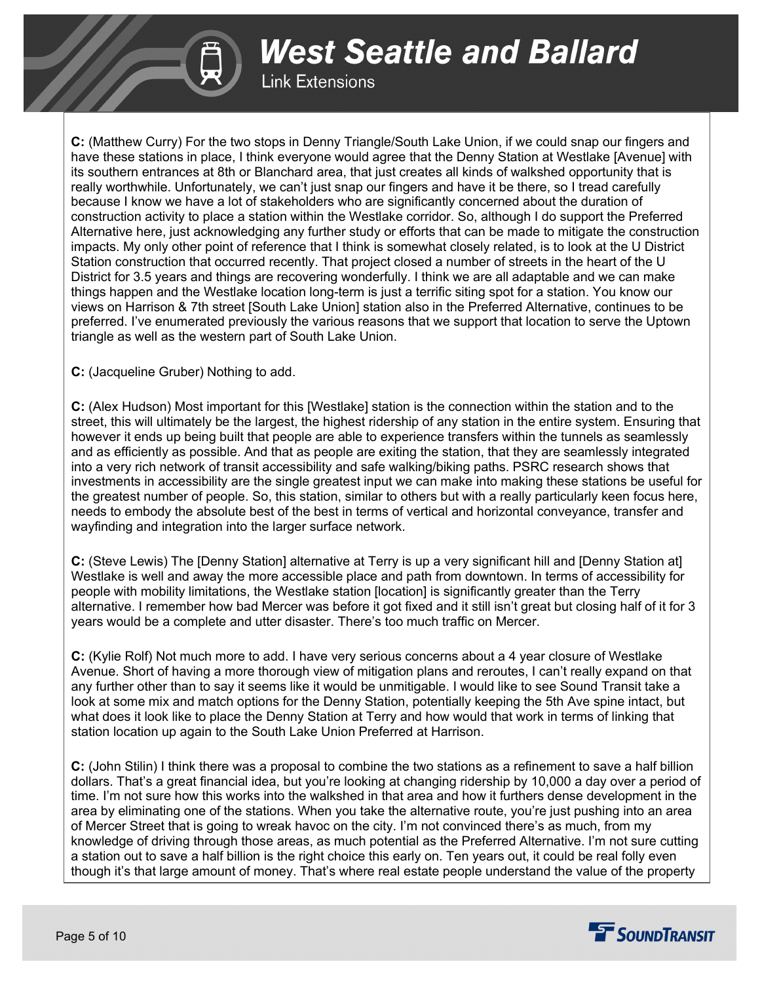

**Link Extensions** 

**C:** (Matthew Curry) For the two stops in Denny Triangle/South Lake Union, if we could snap our fingers and have these stations in place, I think everyone would agree that the Denny Station at Westlake [Avenue] with its southern entrances at 8th or Blanchard area, that just creates all kinds of walkshed opportunity that is really worthwhile. Unfortunately, we can't just snap our fingers and have it be there, so I tread carefully because I know we have a lot of stakeholders who are significantly concerned about the duration of construction activity to place a station within the Westlake corridor. So, although I do support the Preferred Alternative here, just acknowledging any further study or efforts that can be made to mitigate the construction impacts. My only other point of reference that I think is somewhat closely related, is to look at the U District Station construction that occurred recently. That project closed a number of streets in the heart of the U District for 3.5 years and things are recovering wonderfully. I think we are all adaptable and we can make things happen and the Westlake location long-term is just a terrific siting spot for a station. You know our views on Harrison & 7th street [South Lake Union] station also in the Preferred Alternative, continues to be preferred. I've enumerated previously the various reasons that we support that location to serve the Uptown triangle as well as the western part of South Lake Union.

**C:** (Jacqueline Gruber) Nothing to add.

**C:** (Alex Hudson) Most important for this [Westlake] station is the connection within the station and to the street, this will ultimately be the largest, the highest ridership of any station in the entire system. Ensuring that however it ends up being built that people are able to experience transfers within the tunnels as seamlessly and as efficiently as possible. And that as people are exiting the station, that they are seamlessly integrated into a very rich network of transit accessibility and safe walking/biking paths. PSRC research shows that investments in accessibility are the single greatest input we can make into making these stations be useful for the greatest number of people. So, this station, similar to others but with a really particularly keen focus here, needs to embody the absolute best of the best in terms of vertical and horizontal conveyance, transfer and wayfinding and integration into the larger surface network.

**C:** (Steve Lewis) The [Denny Station] alternative at Terry is up a very significant hill and [Denny Station at] Westlake is well and away the more accessible place and path from downtown. In terms of accessibility for people with mobility limitations, the Westlake station [location] is significantly greater than the Terry alternative. I remember how bad Mercer was before it got fixed and it still isn't great but closing half of it for 3 years would be a complete and utter disaster. There's too much traffic on Mercer.

**C:** (Kylie Rolf) Not much more to add. I have very serious concerns about a 4 year closure of Westlake Avenue. Short of having a more thorough view of mitigation plans and reroutes, I can't really expand on that any further other than to say it seems like it would be unmitigable. I would like to see Sound Transit take a look at some mix and match options for the Denny Station, potentially keeping the 5th Ave spine intact, but what does it look like to place the Denny Station at Terry and how would that work in terms of linking that station location up again to the South Lake Union Preferred at Harrison.

**C:** (John Stilin) I think there was a proposal to combine the two stations as a refinement to save a half billion dollars. That's a great financial idea, but you're looking at changing ridership by 10,000 a day over a period of time. I'm not sure how this works into the walkshed in that area and how it furthers dense development in the area by eliminating one of the stations. When you take the alternative route, you're just pushing into an area of Mercer Street that is going to wreak havoc on the city. I'm not convinced there's as much, from my knowledge of driving through those areas, as much potential as the Preferred Alternative. I'm not sure cutting a station out to save a half billion is the right choice this early on. Ten years out, it could be real folly even though it's that large amount of money. That's where real estate people understand the value of the property

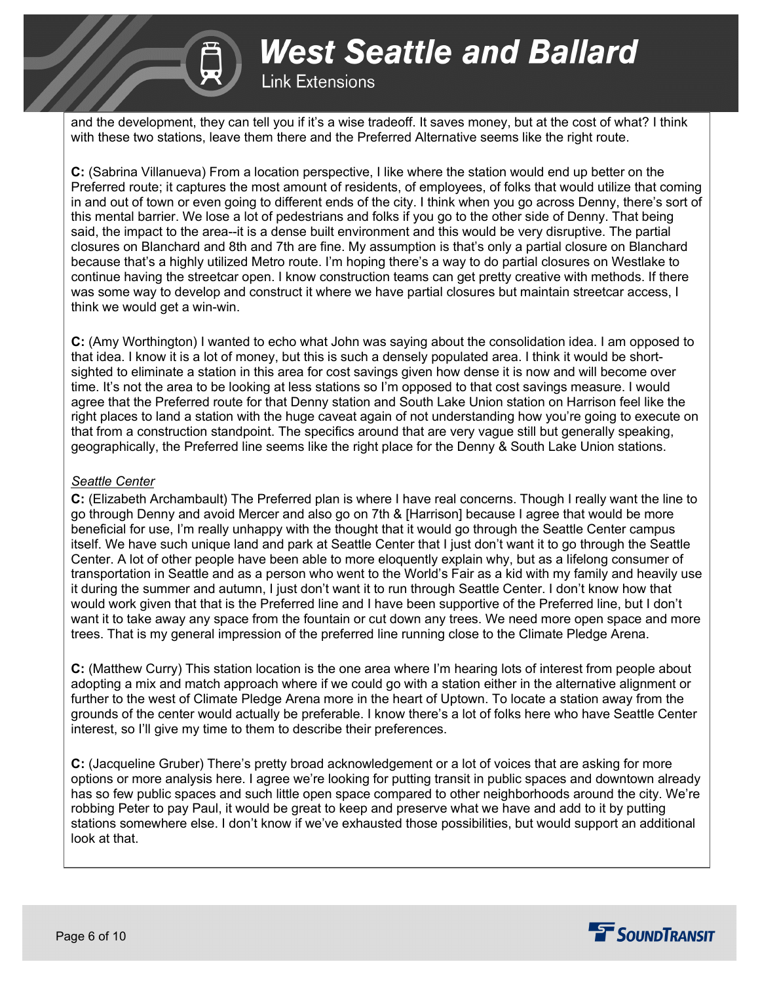

### **Link Extensions**

and the development, they can tell you if it's a wise tradeoff. It saves money, but at the cost of what? I think with these two stations, leave them there and the Preferred Alternative seems like the right route.

**C:** (Sabrina Villanueva) From a location perspective, I like where the station would end up better on the Preferred route; it captures the most amount of residents, of employees, of folks that would utilize that coming in and out of town or even going to different ends of the city. I think when you go across Denny, there's sort of this mental barrier. We lose a lot of pedestrians and folks if you go to the other side of Denny. That being said, the impact to the area--it is a dense built environment and this would be very disruptive. The partial closures on Blanchard and 8th and 7th are fine. My assumption is that's only a partial closure on Blanchard because that's a highly utilized Metro route. I'm hoping there's a way to do partial closures on Westlake to continue having the streetcar open. I know construction teams can get pretty creative with methods. If there was some way to develop and construct it where we have partial closures but maintain streetcar access, I think we would get a win-win.

**C:** (Amy Worthington) I wanted to echo what John was saying about the consolidation idea. I am opposed to that idea. I know it is a lot of money, but this is such a densely populated area. I think it would be shortsighted to eliminate a station in this area for cost savings given how dense it is now and will become over time. It's not the area to be looking at less stations so I'm opposed to that cost savings measure. I would agree that the Preferred route for that Denny station and South Lake Union station on Harrison feel like the right places to land a station with the huge caveat again of not understanding how you're going to execute on that from a construction standpoint. The specifics around that are very vague still but generally speaking, geographically, the Preferred line seems like the right place for the Denny & South Lake Union stations.

#### *Seattle Center*

**C:** (Elizabeth Archambault) The Preferred plan is where I have real concerns. Though I really want the line to go through Denny and avoid Mercer and also go on 7th & [Harrison] because I agree that would be more beneficial for use, I'm really unhappy with the thought that it would go through the Seattle Center campus itself. We have such unique land and park at Seattle Center that I just don't want it to go through the Seattle Center. A lot of other people have been able to more eloquently explain why, but as a lifelong consumer of transportation in Seattle and as a person who went to the World's Fair as a kid with my family and heavily use it during the summer and autumn, I just don't want it to run through Seattle Center. I don't know how that would work given that that is the Preferred line and I have been supportive of the Preferred line, but I don't want it to take away any space from the fountain or cut down any trees. We need more open space and more trees. That is my general impression of the preferred line running close to the Climate Pledge Arena.

**C:** (Matthew Curry) This station location is the one area where I'm hearing lots of interest from people about adopting a mix and match approach where if we could go with a station either in the alternative alignment or further to the west of Climate Pledge Arena more in the heart of Uptown. To locate a station away from the grounds of the center would actually be preferable. I know there's a lot of folks here who have Seattle Center interest, so I'll give my time to them to describe their preferences.

**C:** (Jacqueline Gruber) There's pretty broad acknowledgement or a lot of voices that are asking for more options or more analysis here. I agree we're looking for putting transit in public spaces and downtown already has so few public spaces and such little open space compared to other neighborhoods around the city. We're robbing Peter to pay Paul, it would be great to keep and preserve what we have and add to it by putting stations somewhere else. I don't know if we've exhausted those possibilities, but would support an additional look at that.

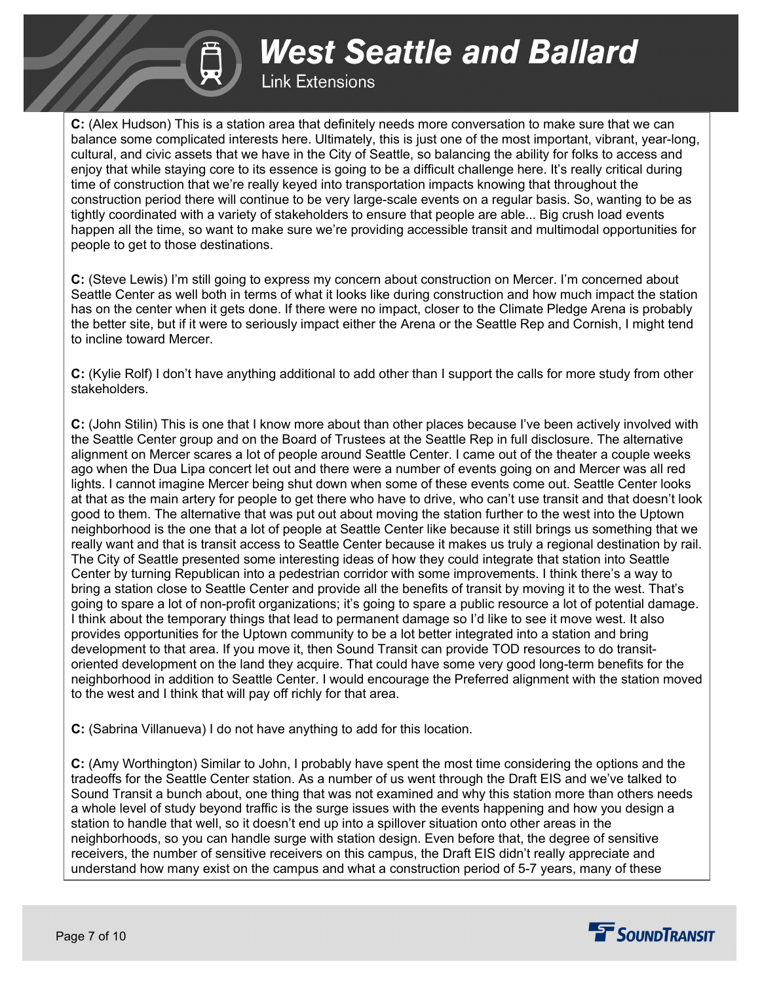## **Link Extensions**

**C:** (Alex Hudson) This is a station area that definitely needs more conversation to make sure that we can balance some complicated interests here. Ultimately, this is just one of the most important, vibrant, year-long, cultural, and civic assets that we have in the City of Seattle, so balancing the ability for folks to access and enjoy that while staying core to its essence is going to be a difficult challenge here. It's really critical during time of construction that we're really keyed into transportation impacts knowing that throughout the construction period there will continue to be very large-scale events on a regular basis. So, wanting to be as tightly coordinated with a variety of stakeholders to ensure that people are able... Big crush load events happen all the time, so want to make sure we're providing accessible transit and multimodal opportunities for people to get to those destinations.

**C:** (Steve Lewis) I'm still going to express my concern about construction on Mercer. I'm concerned about Seattle Center as well both in terms of what it looks like during construction and how much impact the station has on the center when it gets done. If there were no impact, closer to the Climate Pledge Arena is probably the better site, but if it were to seriously impact either the Arena or the Seattle Rep and Cornish, I might tend to incline toward Mercer.

**C:** (Kylie Rolf) I don't have anything additional to add other than I support the calls for more study from other stakeholders.

**C:** (John Stilin) This is one that I know more about than other places because I've been actively involved with the Seattle Center group and on the Board of Trustees at the Seattle Rep in full disclosure. The alternative alignment on Mercer scares a lot of people around Seattle Center. I came out of the theater a couple weeks ago when the Dua Lipa concert let out and there were a number of events going on and Mercer was all red lights. I cannot imagine Mercer being shut down when some of these events come out. Seattle Center looks at that as the main artery for people to get there who have to drive, who can't use transit and that doesn't look good to them. The alternative that was put out about moving the station further to the west into the Uptown neighborhood is the one that a lot of people at Seattle Center like because it still brings us something that we really want and that is transit access to Seattle Center because it makes us truly a regional destination by rail. The City of Seattle presented some interesting ideas of how they could integrate that station into Seattle Center by turning Republican into a pedestrian corridor with some improvements. I think there's a way to bring a station close to Seattle Center and provide all the benefits of transit by moving it to the west. That's going to spare a lot of non-profit organizations; it's going to spare a public resource a lot of potential damage. I think about the temporary things that lead to permanent damage so I'd like to see it move west. It also provides opportunities for the Uptown community to be a lot better integrated into a station and bring development to that area. If you move it, then Sound Transit can provide TOD resources to do transitoriented development on the land they acquire. That could have some very good long-term benefits for the neighborhood in addition to Seattle Center. I would encourage the Preferred alignment with the station moved to the west and I think that will pay off richly for that area.

**C:** (Sabrina Villanueva) I do not have anything to add for this location.

**C:** (Amy Worthington) Similar to John, I probably have spent the most time considering the options and the tradeoffs for the Seattle Center station. As a number of us went through the Draft EIS and we've talked to Sound Transit a bunch about, one thing that was not examined and why this station more than others needs a whole level of study beyond traffic is the surge issues with the events happening and how you design a station to handle that well, so it doesn't end up into a spillover situation onto other areas in the neighborhoods, so you can handle surge with station design. Even before that, the degree of sensitive receivers, the number of sensitive receivers on this campus, the Draft EIS didn't really appreciate and understand how many exist on the campus and what a construction period of 5-7 years, many of these

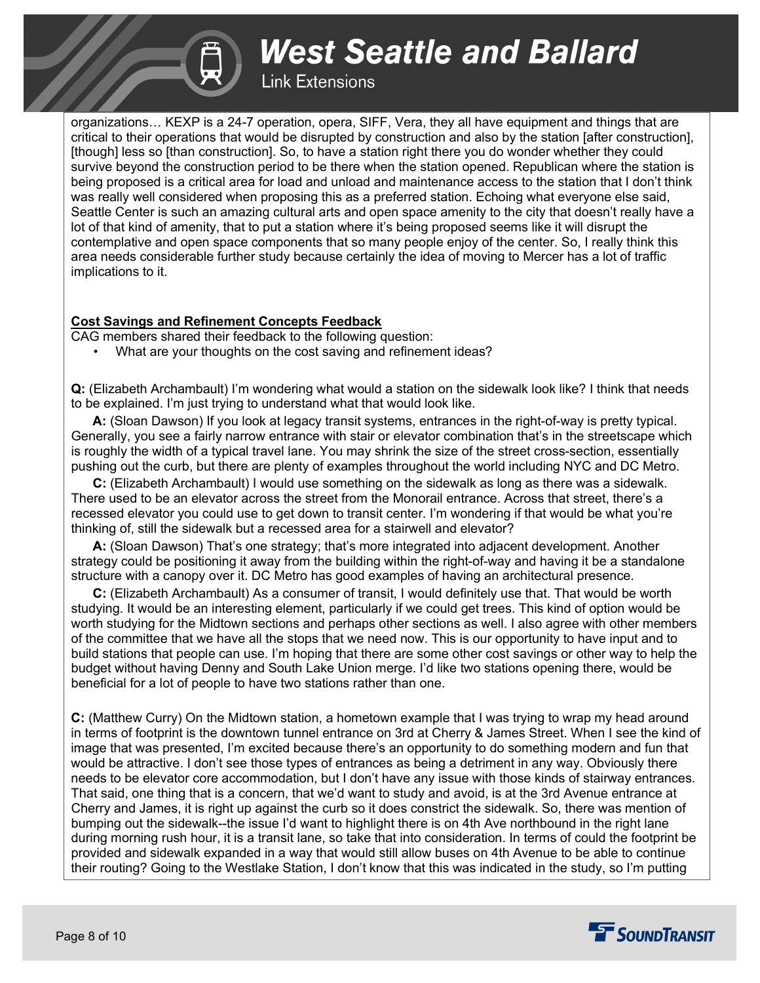### **Link Extensions**

organizations… KEXP is a 24-7 operation, opera, SIFF, Vera, they all have equipment and things that are critical to their operations that would be disrupted by construction and also by the station [after construction], [though] less so [than construction]. So, to have a station right there you do wonder whether they could survive beyond the construction period to be there when the station opened. Republican where the station is being proposed is a critical area for load and unload and maintenance access to the station that I don't think was really well considered when proposing this as a preferred station. Echoing what everyone else said, Seattle Center is such an amazing cultural arts and open space amenity to the city that doesn't really have a lot of that kind of amenity, that to put a station where it's being proposed seems like it will disrupt the contemplative and open space components that so many people enjoy of the center. So, I really think this area needs considerable further study because certainly the idea of moving to Mercer has a lot of traffic implications to it.

#### **Cost Savings and Refinement Concepts Feedback**

CAG members shared their feedback to the following question:

• What are your thoughts on the cost saving and refinement ideas?

**Q:** (Elizabeth Archambault) I'm wondering what would a station on the sidewalk look like? I think that needs to be explained. I'm just trying to understand what that would look like.

 **A:** (Sloan Dawson) If you look at legacy transit systems, entrances in the right-of-way is pretty typical. Generally, you see a fairly narrow entrance with stair or elevator combination that's in the streetscape which is roughly the width of a typical travel lane. You may shrink the size of the street cross-section, essentially pushing out the curb, but there are plenty of examples throughout the world including NYC and DC Metro.

 **C:** (Elizabeth Archambault) I would use something on the sidewalk as long as there was a sidewalk. There used to be an elevator across the street from the Monorail entrance. Across that street, there's a recessed elevator you could use to get down to transit center. I'm wondering if that would be what you're thinking of, still the sidewalk but a recessed area for a stairwell and elevator?

 **A:** (Sloan Dawson) That's one strategy; that's more integrated into adjacent development. Another strategy could be positioning it away from the building within the right-of-way and having it be a standalone structure with a canopy over it. DC Metro has good examples of having an architectural presence.

 **C:** (Elizabeth Archambault) As a consumer of transit, I would definitely use that. That would be worth studying. It would be an interesting element, particularly if we could get trees. This kind of option would be worth studying for the Midtown sections and perhaps other sections as well. I also agree with other members of the committee that we have all the stops that we need now. This is our opportunity to have input and to build stations that people can use. I'm hoping that there are some other cost savings or other way to help the budget without having Denny and South Lake Union merge. I'd like two stations opening there, would be beneficial for a lot of people to have two stations rather than one.

**C:** (Matthew Curry) On the Midtown station, a hometown example that I was trying to wrap my head around in terms of footprint is the downtown tunnel entrance on 3rd at Cherry & James Street. When I see the kind of image that was presented, I'm excited because there's an opportunity to do something modern and fun that would be attractive. I don't see those types of entrances as being a detriment in any way. Obviously there needs to be elevator core accommodation, but I don't have any issue with those kinds of stairway entrances. That said, one thing that is a concern, that we'd want to study and avoid, is at the 3rd Avenue entrance at Cherry and James, it is right up against the curb so it does constrict the sidewalk. So, there was mention of bumping out the sidewalk--the issue I'd want to highlight there is on 4th Ave northbound in the right lane during morning rush hour, it is a transit lane, so take that into consideration. In terms of could the footprint be provided and sidewalk expanded in a way that would still allow buses on 4th Avenue to be able to continue their routing? Going to the Westlake Station, I don't know that this was indicated in the study, so I'm putting

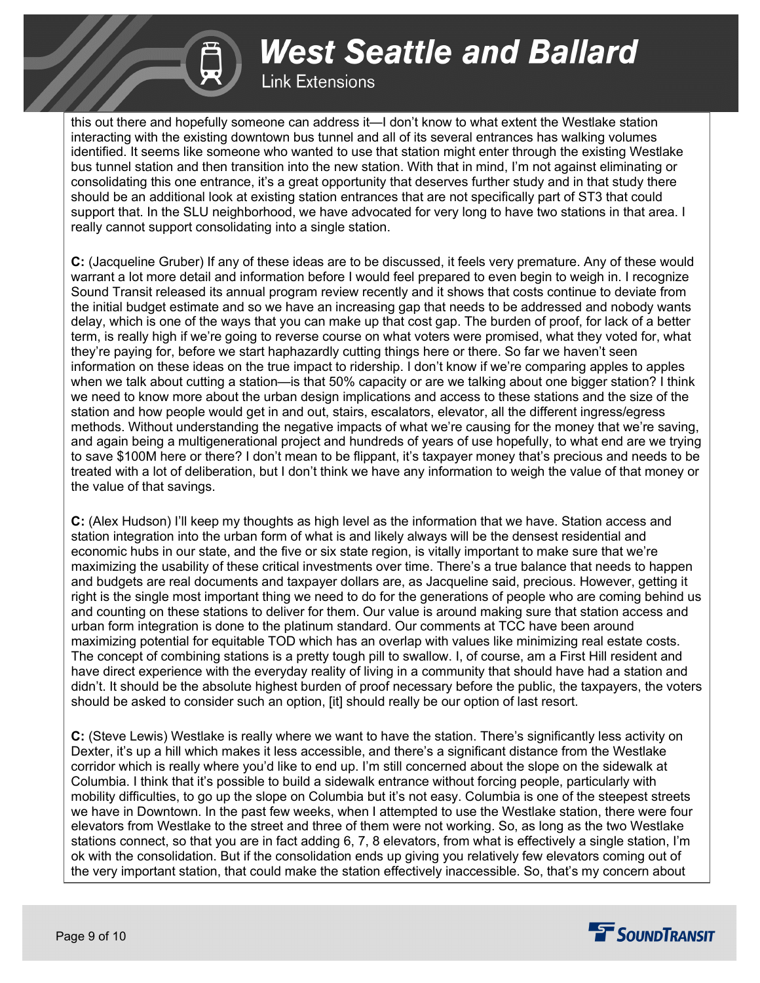### **Link Extensions**

this out there and hopefully someone can address it—I don't know to what extent the Westlake station interacting with the existing downtown bus tunnel and all of its several entrances has walking volumes identified. It seems like someone who wanted to use that station might enter through the existing Westlake bus tunnel station and then transition into the new station. With that in mind, I'm not against eliminating or consolidating this one entrance, it's a great opportunity that deserves further study and in that study there should be an additional look at existing station entrances that are not specifically part of ST3 that could support that. In the SLU neighborhood, we have advocated for very long to have two stations in that area. I really cannot support consolidating into a single station.

**C:** (Jacqueline Gruber) If any of these ideas are to be discussed, it feels very premature. Any of these would warrant a lot more detail and information before I would feel prepared to even begin to weigh in. I recognize Sound Transit released its annual program review recently and it shows that costs continue to deviate from the initial budget estimate and so we have an increasing gap that needs to be addressed and nobody wants delay, which is one of the ways that you can make up that cost gap. The burden of proof, for lack of a better term, is really high if we're going to reverse course on what voters were promised, what they voted for, what they're paying for, before we start haphazardly cutting things here or there. So far we haven't seen information on these ideas on the true impact to ridership. I don't know if we're comparing apples to apples when we talk about cutting a station—is that 50% capacity or are we talking about one bigger station? I think we need to know more about the urban design implications and access to these stations and the size of the station and how people would get in and out, stairs, escalators, elevator, all the different ingress/egress methods. Without understanding the negative impacts of what we're causing for the money that we're saving, and again being a multigenerational project and hundreds of years of use hopefully, to what end are we trying to save \$100M here or there? I don't mean to be flippant, it's taxpayer money that's precious and needs to be treated with a lot of deliberation, but I don't think we have any information to weigh the value of that money or the value of that savings.

**C:** (Alex Hudson) I'll keep my thoughts as high level as the information that we have. Station access and station integration into the urban form of what is and likely always will be the densest residential and economic hubs in our state, and the five or six state region, is vitally important to make sure that we're maximizing the usability of these critical investments over time. There's a true balance that needs to happen and budgets are real documents and taxpayer dollars are, as Jacqueline said, precious. However, getting it right is the single most important thing we need to do for the generations of people who are coming behind us and counting on these stations to deliver for them. Our value is around making sure that station access and urban form integration is done to the platinum standard. Our comments at TCC have been around maximizing potential for equitable TOD which has an overlap with values like minimizing real estate costs. The concept of combining stations is a pretty tough pill to swallow. I, of course, am a First Hill resident and have direct experience with the everyday reality of living in a community that should have had a station and didn't. It should be the absolute highest burden of proof necessary before the public, the taxpayers, the voters should be asked to consider such an option, [it] should really be our option of last resort.

**C:** (Steve Lewis) Westlake is really where we want to have the station. There's significantly less activity on Dexter, it's up a hill which makes it less accessible, and there's a significant distance from the Westlake corridor which is really where you'd like to end up. I'm still concerned about the slope on the sidewalk at Columbia. I think that it's possible to build a sidewalk entrance without forcing people, particularly with mobility difficulties, to go up the slope on Columbia but it's not easy. Columbia is one of the steepest streets we have in Downtown. In the past few weeks, when I attempted to use the Westlake station, there were four elevators from Westlake to the street and three of them were not working. So, as long as the two Westlake stations connect, so that you are in fact adding 6, 7, 8 elevators, from what is effectively a single station, I'm ok with the consolidation. But if the consolidation ends up giving you relatively few elevators coming out of the very important station, that could make the station effectively inaccessible. So, that's my concern about